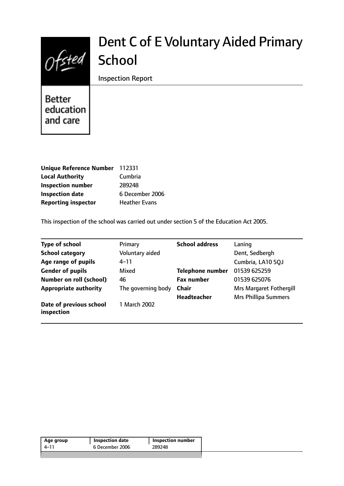

# Dent C of E Voluntary Aided Primary **School**

Inspection Report

Better education and care

| Unique Reference Number 112331 |                      |
|--------------------------------|----------------------|
| <b>Local Authority</b>         | Cumbria              |
| <b>Inspection number</b>       | 289248               |
| <b>Inspection date</b>         | 6 December 2006      |
| <b>Reporting inspector</b>     | <b>Heather Evans</b> |

This inspection of the school was carried out under section 5 of the Education Act 2005.

| <b>Type of school</b>                 | Primary            | <b>School address</b>   | Laning                         |
|---------------------------------------|--------------------|-------------------------|--------------------------------|
| <b>School category</b>                | Voluntary aided    |                         | Dent, Sedbergh                 |
| Age range of pupils                   | $4 - 11$           |                         | Cumbria, LA10 5QJ              |
| <b>Gender of pupils</b>               | Mixed              | <b>Telephone number</b> | 01539 625259                   |
| Number on roll (school)               | 46                 | <b>Fax number</b>       | 01539 625076                   |
| <b>Appropriate authority</b>          | The governing body | <b>Chair</b>            | <b>Mrs Margaret Fothergill</b> |
|                                       |                    | <b>Headteacher</b>      | <b>Mrs Phillipa Summers</b>    |
| Date of previous school<br>inspection | 1 March 2002       |                         |                                |

| 6 December 2006 | <b>Inspection number</b> | Age group |
|-----------------|--------------------------|-----------|
|                 | 289248                   | 4–11      |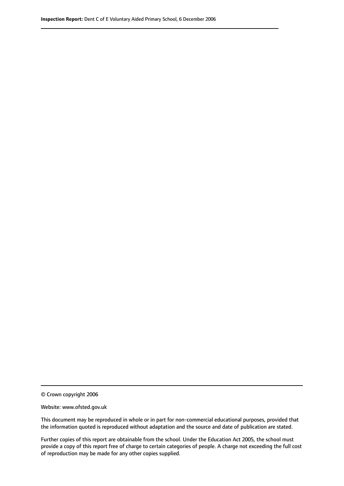© Crown copyright 2006

Website: www.ofsted.gov.uk

This document may be reproduced in whole or in part for non-commercial educational purposes, provided that the information quoted is reproduced without adaptation and the source and date of publication are stated.

Further copies of this report are obtainable from the school. Under the Education Act 2005, the school must provide a copy of this report free of charge to certain categories of people. A charge not exceeding the full cost of reproduction may be made for any other copies supplied.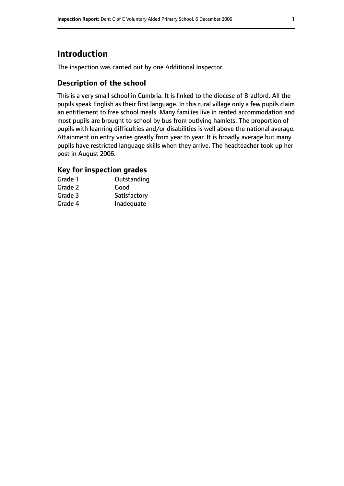# **Introduction**

The inspection was carried out by one Additional Inspector.

## **Description of the school**

This is a very small school in Cumbria. It is linked to the diocese of Bradford. All the pupils speak English as their first language. In this rural village only a few pupils claim an entitlement to free school meals. Many families live in rented accommodation and most pupils are brought to school by bus from outlying hamlets. The proportion of pupils with learning difficulties and/or disabilities is well above the national average. Attainment on entry varies greatly from year to year. It is broadly average but many pupils have restricted language skills when they arrive. The headteacher took up her post in August 2006.

## **Key for inspection grades**

| Grade 1 | Outstanding  |
|---------|--------------|
| Grade 2 | Good         |
| Grade 3 | Satisfactory |
| Grade 4 | Inadequate   |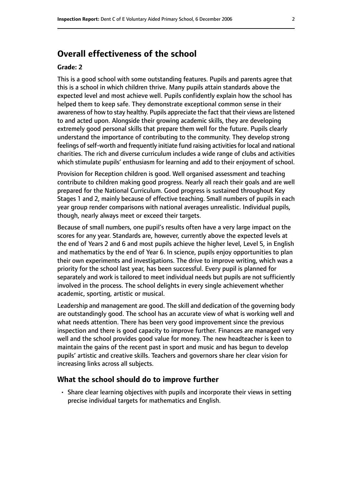# **Overall effectiveness of the school**

#### **Grade: 2**

This is a good school with some outstanding features. Pupils and parents agree that this is a school in which children thrive. Many pupils attain standards above the expected level and most achieve well. Pupils confidently explain how the school has helped them to keep safe. They demonstrate exceptional common sense in their awareness of how to stay healthy. Pupils appreciate the fact that their views are listened to and acted upon. Alongside their growing academic skills, they are developing extremely good personal skills that prepare them well for the future. Pupils clearly understand the importance of contributing to the community. They develop strong feelings of self-worth and frequently initiate fund raising activities for local and national charities. The rich and diverse curriculum includes a wide range of clubs and activities which stimulate pupils' enthusiasm for learning and add to their enjoyment of school.

Provision for Reception children is good. Well organised assessment and teaching contribute to children making good progress. Nearly all reach their goals and are well prepared for the National Curriculum. Good progress is sustained throughout Key Stages 1 and 2, mainly because of effective teaching. Small numbers of pupils in each year group render comparisons with national averages unrealistic. Individual pupils, though, nearly always meet or exceed their targets.

Because of small numbers, one pupil's results often have a very large impact on the scores for any year. Standards are, however, currently above the expected levels at the end of Years 2 and 6 and most pupils achieve the higher level, Level 5, in English and mathematics by the end of Year 6. In science, pupils enjoy opportunities to plan their own experiments and investigations. The drive to improve writing, which was a priority for the school last year, has been successful. Every pupil is planned for separately and work is tailored to meet individual needs but pupils are not sufficiently involved in the process. The school delights in every single achievement whether academic, sporting, artistic or musical.

Leadership and management are good. The skill and dedication of the governing body are outstandingly good. The school has an accurate view of what is working well and what needs attention. There has been very good improvement since the previous inspection and there is good capacity to improve further. Finances are managed very well and the school provides good value for money. The new headteacher is keen to maintain the gains of the recent past in sport and music and has begun to develop pupils' artistic and creative skills. Teachers and governors share her clear vision for increasing links across all subjects.

#### **What the school should do to improve further**

• Share clear learning objectives with pupils and incorporate their views in setting precise individual targets for mathematics and English.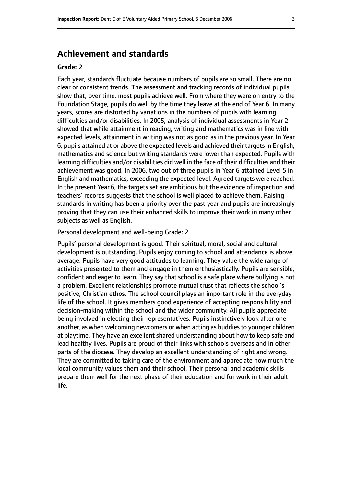## **Achievement and standards**

#### **Grade: 2**

Each year, standards fluctuate because numbers of pupils are so small. There are no clear or consistent trends. The assessment and tracking records of individual pupils show that, over time, most pupils achieve well. From where they were on entry to the Foundation Stage, pupils do well by the time they leave at the end of Year 6. In many years, scores are distorted by variations in the numbers of pupils with learning difficulties and/or disabilities. In 2005, analysis of individual assessments in Year 2 showed that while attainment in reading, writing and mathematics was in line with expected levels, attainment in writing was not as good as in the previous year. In Year 6, pupils attained at or above the expected levels and achieved their targetsin English, mathematics and science but writing standards were lower than expected. Pupils with learning difficulties and/or disabilities did well in the face of their difficulties and their achievement was good. In 2006, two out of three pupils in Year 6 attained Level 5 in English and mathematics, exceeding the expected level. Agreed targets were reached. In the present Year 6, the targets set are ambitious but the evidence of inspection and teachers' records suggests that the school is well placed to achieve them. Raising standards in writing has been a priority over the past year and pupils are increasingly proving that they can use their enhanced skills to improve their work in many other subjects as well as English.

Personal development and well-being Grade: 2

Pupils' personal development is good. Their spiritual, moral, social and cultural development is outstanding. Pupils enjoy coming to school and attendance is above average. Pupils have very good attitudes to learning. They value the wide range of activities presented to them and engage in them enthusiastically. Pupils are sensible, confident and eager to learn. They say that school is a safe place where bullying is not a problem. Excellent relationships promote mutual trust that reflects the school's positive, Christian ethos. The school council plays an important role in the everyday life of the school. It gives members good experience of accepting responsibility and decision-making within the school and the wider community. All pupils appreciate being involved in electing their representatives. Pupils instinctively look after one another, as when welcoming newcomers or when acting as buddies to younger children at playtime. They have an excellent shared understanding about how to keep safe and lead healthy lives. Pupils are proud of their links with schools overseas and in other parts of the diocese. They develop an excellent understanding of right and wrong. They are committed to taking care of the environment and appreciate how much the local community values them and their school. Their personal and academic skills prepare them well for the next phase of their education and for work in their adult life.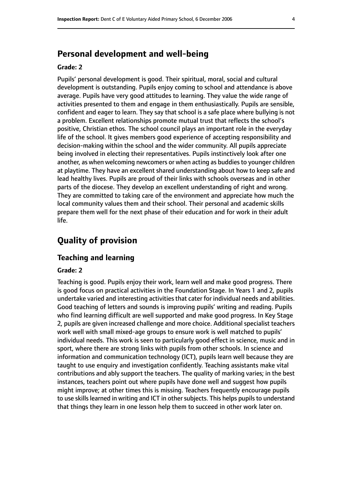# **Personal development and well-being**

#### **Grade: 2**

Pupils' personal development is good. Their spiritual, moral, social and cultural development is outstanding. Pupils enjoy coming to school and attendance is above average. Pupils have very good attitudes to learning. They value the wide range of activities presented to them and engage in them enthusiastically. Pupils are sensible, confident and eager to learn. They say that school is a safe place where bullying is not a problem. Excellent relationships promote mutual trust that reflects the school's positive, Christian ethos. The school council plays an important role in the everyday life of the school. It gives members good experience of accepting responsibility and decision-making within the school and the wider community. All pupils appreciate being involved in electing their representatives. Pupils instinctively look after one another, as when welcoming newcomers or when acting as buddies to younger children at playtime. They have an excellent shared understanding about how to keep safe and lead healthy lives. Pupils are proud of their links with schools overseas and in other parts of the diocese. They develop an excellent understanding of right and wrong. They are committed to taking care of the environment and appreciate how much the local community values them and their school. Their personal and academic skills prepare them well for the next phase of their education and for work in their adult life.

# **Quality of provision**

#### **Teaching and learning**

#### **Grade: 2**

Teaching is good. Pupils enjoy their work, learn well and make good progress. There is good focus on practical activities in the Foundation Stage. In Years 1 and 2, pupils undertake varied and interesting activities that cater for individual needs and abilities. Good teaching of letters and sounds is improving pupils' writing and reading. Pupils who find learning difficult are well supported and make good progress. In Key Stage 2, pupils are given increased challenge and more choice. Additional specialist teachers work well with small mixed-age groups to ensure work is well matched to pupils' individual needs. This work is seen to particularly good effect in science, music and in sport, where there are strong links with pupils from other schools. In science and information and communication technology (ICT), pupils learn well because they are taught to use enquiry and investigation confidently. Teaching assistants make vital contributions and ably support the teachers. The quality of marking varies; in the best instances, teachers point out where pupils have done well and suggest how pupils might improve; at other times this is missing. Teachers frequently encourage pupils to use skills learned in writing and ICT in other subjects. This helps pupils to understand that things they learn in one lesson help them to succeed in other work later on.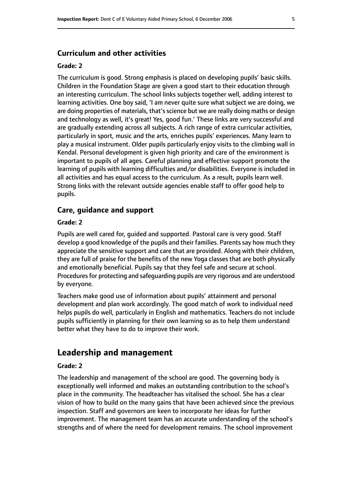#### **Curriculum and other activities**

#### **Grade: 2**

The curriculum is good. Strong emphasis is placed on developing pupils' basic skills. Children in the Foundation Stage are given a good start to their education through an interesting curriculum. The school links subjects together well, adding interest to learning activities. One boy said, 'I am never quite sure what subject we are doing, we are doing properties of materials, that's science but we are really doing maths or design and technology as well, it's great! Yes, good fun.' These links are very successful and are gradually extending across all subjects. A rich range of extra curricular activities, particularly in sport, music and the arts, enriches pupils' experiences. Many learn to play a musical instrument. Older pupils particularly enjoy visits to the climbing wall in Kendal. Personal development is given high priority and care of the environment is important to pupils of all ages. Careful planning and effective support promote the learning of pupils with learning difficulties and/or disabilities. Everyone is included in all activities and has equal access to the curriculum. As a result, pupils learn well. Strong links with the relevant outside agencies enable staff to offer good help to pupils.

#### **Care, guidance and support**

#### **Grade: 2**

Pupils are well cared for, guided and supported. Pastoral care is very good. Staff develop a good knowledge of the pupils and their families. Parents say how much they appreciate the sensitive support and care that are provided. Along with their children, they are full of praise for the benefits of the new Yoga classes that are both physically and emotionally beneficial. Pupils say that they feel safe and secure at school. Procedures for protecting and safeguarding pupils are very rigorous and are understood by everyone.

Teachers make good use of information about pupils' attainment and personal development and plan work accordingly. The good match of work to individual need helps pupils do well, particularly in English and mathematics. Teachers do not include pupils sufficiently in planning for their own learning so as to help them understand better what they have to do to improve their work.

### **Leadership and management**

#### **Grade: 2**

The leadership and management of the school are good. The governing body is exceptionally well informed and makes an outstanding contribution to the school's place in the community. The headteacher has vitalised the school. She has a clear vision of how to build on the many gains that have been achieved since the previous inspection. Staff and governors are keen to incorporate her ideas for further improvement. The management team has an accurate understanding of the school's strengths and of where the need for development remains. The school improvement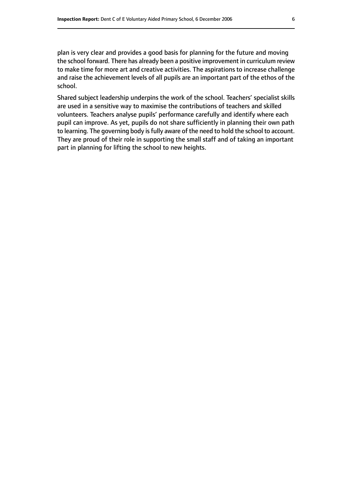plan is very clear and provides a good basis for planning for the future and moving the school forward. There has already been a positive improvement in curriculum review to make time for more art and creative activities. The aspirations to increase challenge and raise the achievement levels of all pupils are an important part of the ethos of the school.

Shared subject leadership underpins the work of the school. Teachers' specialist skills are used in a sensitive way to maximise the contributions of teachers and skilled volunteers. Teachers analyse pupils' performance carefully and identify where each pupil can improve. As yet, pupils do not share sufficiently in planning their own path to learning. The governing body is fully aware of the need to hold the school to account. They are proud of their role in supporting the small staff and of taking an important part in planning for lifting the school to new heights.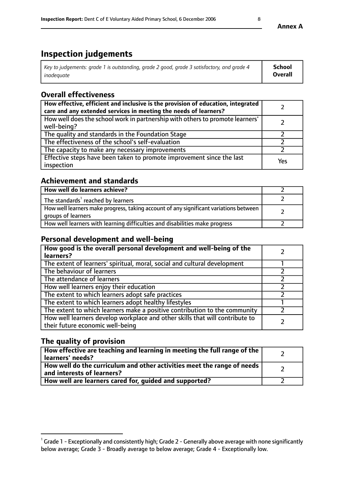# **Inspection judgements**

| Key to judgements: grade 1 is outstanding, grade 2 good, grade 3 satisfactory, and grade 4 | School         |
|--------------------------------------------------------------------------------------------|----------------|
| inadeauate                                                                                 | <b>Overall</b> |

# **Overall effectiveness**

| How effective, efficient and inclusive is the provision of education, integrated<br>care and any extended services in meeting the needs of learners? |     |
|------------------------------------------------------------------------------------------------------------------------------------------------------|-----|
| How well does the school work in partnership with others to promote learners'<br>well-being?                                                         |     |
| The quality and standards in the Foundation Stage                                                                                                    |     |
| The effectiveness of the school's self-evaluation                                                                                                    |     |
| The capacity to make any necessary improvements                                                                                                      |     |
| Effective steps have been taken to promote improvement since the last<br>inspection                                                                  | Yes |

## **Achievement and standards**

| How well do learners achieve?                                                                               |  |
|-------------------------------------------------------------------------------------------------------------|--|
| The standards <sup>1</sup> reached by learners                                                              |  |
| How well learners make progress, taking account of any significant variations between<br>groups of learners |  |
| How well learners with learning difficulties and disabilities make progress                                 |  |

## **Personal development and well-being**

| How good is the overall personal development and well-being of the<br>learners?                                  |  |
|------------------------------------------------------------------------------------------------------------------|--|
| The extent of learners' spiritual, moral, social and cultural development                                        |  |
| The behaviour of learners                                                                                        |  |
| The attendance of learners                                                                                       |  |
| How well learners enjoy their education                                                                          |  |
| The extent to which learners adopt safe practices                                                                |  |
| The extent to which learners adopt healthy lifestyles                                                            |  |
| The extent to which learners make a positive contribution to the community                                       |  |
| How well learners develop workplace and other skills that will contribute to<br>their future economic well-being |  |

# **The quality of provision**

| How effective are teaching and learning in meeting the full range of the<br>  learners' needs?                      |  |
|---------------------------------------------------------------------------------------------------------------------|--|
| $\mid$ How well do the curriculum and other activities meet the range of needs<br>$\mid$ and interests of learners? |  |
| How well are learners cared for, guided and supported?                                                              |  |

**Annex A**

 $^1$  Grade 1 - Exceptionally and consistently high; Grade 2 - Generally above average with none significantly below average; Grade 3 - Broadly average to below average; Grade 4 - Exceptionally low.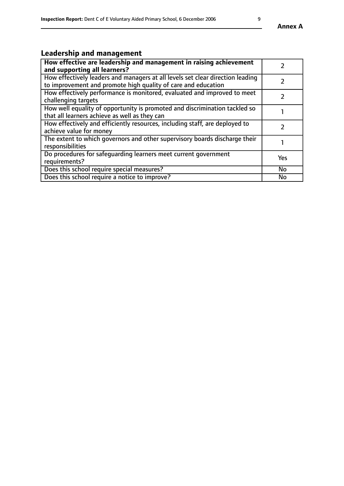# **Leadership and management**

| How effective are leadership and management in raising achievement<br>and supporting all learners?                                              |           |
|-------------------------------------------------------------------------------------------------------------------------------------------------|-----------|
| How effectively leaders and managers at all levels set clear direction leading<br>to improvement and promote high quality of care and education |           |
| How effectively performance is monitored, evaluated and improved to meet<br>challenging targets                                                 |           |
| How well equality of opportunity is promoted and discrimination tackled so<br>that all learners achieve as well as they can                     |           |
| How effectively and efficiently resources, including staff, are deployed to<br>achieve value for money                                          |           |
| The extent to which governors and other supervisory boards discharge their<br>responsibilities                                                  |           |
| Do procedures for safequarding learners meet current government<br>requirements?                                                                | Yes       |
| Does this school require special measures?                                                                                                      | No        |
| Does this school require a notice to improve?                                                                                                   | <b>No</b> |